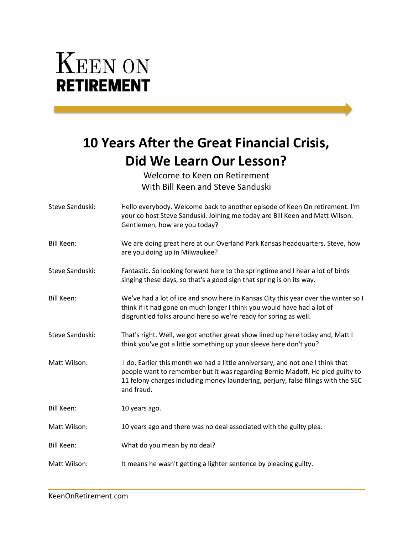## **KEEN ON RETIREMENT**

## **10 Years After the Great Financial Crisis, Did We Learn Our Lesson?**

Welcome to Keen on Retirement With Bill Keen and Steve Sanduski

| Steve Sanduski:   | Hello everybody. Welcome back to another episode of Keen On retirement. I'm<br>your co host Steve Sanduski. Joining me today are Bill Keen and Matt Wilson.<br>Gentlemen, how are you today?                                                                       |
|-------------------|--------------------------------------------------------------------------------------------------------------------------------------------------------------------------------------------------------------------------------------------------------------------|
| <b>Bill Keen:</b> | We are doing great here at our Overland Park Kansas headquarters. Steve, how<br>are you doing up in Milwaukee?                                                                                                                                                     |
| Steve Sanduski:   | Fantastic. So looking forward here to the springtime and I hear a lot of birds<br>singing these days, so that's a good sign that spring is on its way.                                                                                                             |
| Bill Keen:        | We've had a lot of ice and snow here in Kansas City this year over the winter so I<br>think if it had gone on much longer I think you would have had a lot of<br>disgruntled folks around here so we're ready for spring as well.                                  |
| Steve Sanduski:   | That's right. Well, we got another great show lined up here today and, Matt I<br>think you've got a little something up your sleeve here don't you?                                                                                                                |
| Matt Wilson:      | I do. Earlier this month we had a little anniversary, and not one I think that<br>people want to remember but it was regarding Bernie Madoff. He pled guilty to<br>11 felony charges including money laundering, perjury, false filings with the SEC<br>and fraud. |
| <b>Bill Keen:</b> | 10 years ago.                                                                                                                                                                                                                                                      |
| Matt Wilson:      | 10 years ago and there was no deal associated with the guilty plea.                                                                                                                                                                                                |
| Bill Keen:        | What do you mean by no deal?                                                                                                                                                                                                                                       |
| Matt Wilson:      | It means he wasn't getting a lighter sentence by pleading guilty.                                                                                                                                                                                                  |
|                   |                                                                                                                                                                                                                                                                    |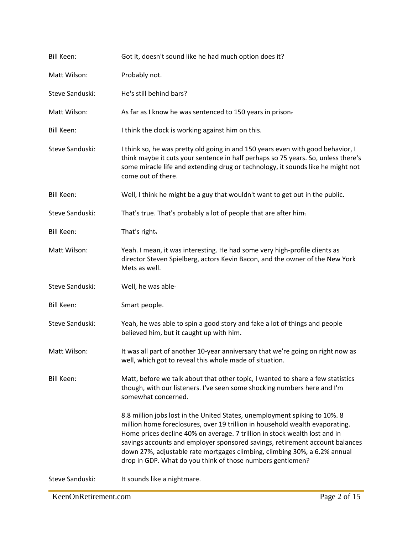| <b>Bill Keen:</b> | Got it, doesn't sound like he had much option does it?                                                                                                                                                                                                                                                                                                                                                                                                              |
|-------------------|---------------------------------------------------------------------------------------------------------------------------------------------------------------------------------------------------------------------------------------------------------------------------------------------------------------------------------------------------------------------------------------------------------------------------------------------------------------------|
| Matt Wilson:      | Probably not.                                                                                                                                                                                                                                                                                                                                                                                                                                                       |
| Steve Sanduski:   | He's still behind bars?                                                                                                                                                                                                                                                                                                                                                                                                                                             |
| Matt Wilson:      | As far as I know he was sentenced to 150 years in prison-                                                                                                                                                                                                                                                                                                                                                                                                           |
| <b>Bill Keen:</b> | I think the clock is working against him on this.                                                                                                                                                                                                                                                                                                                                                                                                                   |
| Steve Sanduski:   | I think so, he was pretty old going in and 150 years even with good behavior, I<br>think maybe it cuts your sentence in half perhaps so 75 years. So, unless there's<br>some miracle life and extending drug or technology, it sounds like he might not<br>come out of there.                                                                                                                                                                                       |
| <b>Bill Keen:</b> | Well, I think he might be a guy that wouldn't want to get out in the public.                                                                                                                                                                                                                                                                                                                                                                                        |
| Steve Sanduski:   | That's true. That's probably a lot of people that are after him-                                                                                                                                                                                                                                                                                                                                                                                                    |
| <b>Bill Keen:</b> | That's right.                                                                                                                                                                                                                                                                                                                                                                                                                                                       |
| Matt Wilson:      | Yeah. I mean, it was interesting. He had some very high-profile clients as<br>director Steven Spielberg, actors Kevin Bacon, and the owner of the New York<br>Mets as well.                                                                                                                                                                                                                                                                                         |
| Steve Sanduski:   | Well, he was able-                                                                                                                                                                                                                                                                                                                                                                                                                                                  |
| <b>Bill Keen:</b> | Smart people.                                                                                                                                                                                                                                                                                                                                                                                                                                                       |
| Steve Sanduski:   | Yeah, he was able to spin a good story and fake a lot of things and people<br>believed him, but it caught up with him.                                                                                                                                                                                                                                                                                                                                              |
| Matt Wilson:      | It was all part of another 10-year anniversary that we're going on right now as<br>well, which got to reveal this whole made of situation.                                                                                                                                                                                                                                                                                                                          |
| <b>Bill Keen:</b> | Matt, before we talk about that other topic, I wanted to share a few statistics<br>though, with our listeners. I've seen some shocking numbers here and I'm<br>somewhat concerned.                                                                                                                                                                                                                                                                                  |
|                   | 8.8 million jobs lost in the United States, unemployment spiking to 10%. 8<br>million home foreclosures, over 19 trillion in household wealth evaporating.<br>Home prices decline 40% on average. 7 trillion in stock wealth lost and in<br>savings accounts and employer sponsored savings, retirement account balances<br>down 27%, adjustable rate mortgages climbing, climbing 30%, a 6.2% annual<br>drop in GDP. What do you think of those numbers gentlemen? |
| Steve Sanduski:   | It sounds like a nightmare.                                                                                                                                                                                                                                                                                                                                                                                                                                         |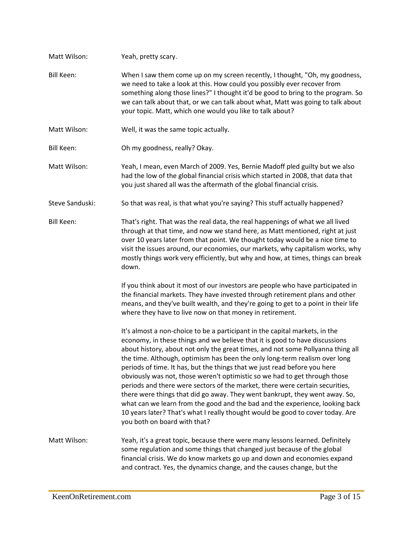| Matt Wilson:      | Yeah, pretty scary.                                                                                                                                                                                                                                                                                                                                                                                                                                                                                                                                                                                                                                                                                                                                                                                                                                     |
|-------------------|---------------------------------------------------------------------------------------------------------------------------------------------------------------------------------------------------------------------------------------------------------------------------------------------------------------------------------------------------------------------------------------------------------------------------------------------------------------------------------------------------------------------------------------------------------------------------------------------------------------------------------------------------------------------------------------------------------------------------------------------------------------------------------------------------------------------------------------------------------|
| <b>Bill Keen:</b> | When I saw them come up on my screen recently, I thought, "Oh, my goodness,<br>we need to take a look at this. How could you possibly ever recover from<br>something along those lines?" I thought it'd be good to bring to the program. So<br>we can talk about that, or we can talk about what, Matt was going to talk about<br>your topic. Matt, which one would you like to talk about?                                                                                                                                                                                                                                                                                                                                                                                                                                                             |
| Matt Wilson:      | Well, it was the same topic actually.                                                                                                                                                                                                                                                                                                                                                                                                                                                                                                                                                                                                                                                                                                                                                                                                                   |
| <b>Bill Keen:</b> | Oh my goodness, really? Okay.                                                                                                                                                                                                                                                                                                                                                                                                                                                                                                                                                                                                                                                                                                                                                                                                                           |
| Matt Wilson:      | Yeah, I mean, even March of 2009. Yes, Bernie Madoff pled guilty but we also<br>had the low of the global financial crisis which started in 2008, that data that<br>you just shared all was the aftermath of the global financial crisis.                                                                                                                                                                                                                                                                                                                                                                                                                                                                                                                                                                                                               |
| Steve Sanduski:   | So that was real, is that what you're saying? This stuff actually happened?                                                                                                                                                                                                                                                                                                                                                                                                                                                                                                                                                                                                                                                                                                                                                                             |
| <b>Bill Keen:</b> | That's right. That was the real data, the real happenings of what we all lived<br>through at that time, and now we stand here, as Matt mentioned, right at just<br>over 10 years later from that point. We thought today would be a nice time to<br>visit the issues around, our economies, our markets, why capitalism works, why<br>mostly things work very efficiently, but why and how, at times, things can break<br>down.                                                                                                                                                                                                                                                                                                                                                                                                                         |
|                   | If you think about it most of our investors are people who have participated in<br>the financial markets. They have invested through retirement plans and other<br>means, and they've built wealth, and they're going to get to a point in their life<br>where they have to live now on that money in retirement.                                                                                                                                                                                                                                                                                                                                                                                                                                                                                                                                       |
|                   | It's almost a non-choice to be a participant in the capital markets, in the<br>economy, in these things and we believe that it is good to have discussions<br>about history, about not only the great times, and not some Pollyanna thing all<br>the time. Although, optimism has been the only long-term realism over long<br>periods of time. It has, but the things that we just read before you here<br>obviously was not, those weren't optimistic so we had to get through those<br>periods and there were sectors of the market, there were certain securities,<br>there were things that did go away. They went bankrupt, they went away. So,<br>what can we learn from the good and the bad and the experience, looking back<br>10 years later? That's what I really thought would be good to cover today. Are<br>you both on board with that? |
| Matt Wilson:      | Yeah, it's a great topic, because there were many lessons learned. Definitely<br>some regulation and some things that changed just because of the global<br>financial crisis. We do know markets go up and down and economies expand<br>and contract. Yes, the dynamics change, and the causes change, but the                                                                                                                                                                                                                                                                                                                                                                                                                                                                                                                                          |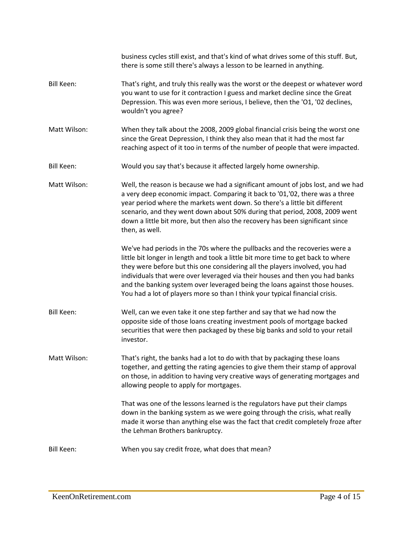|                   | business cycles still exist, and that's kind of what drives some of this stuff. But,<br>there is some still there's always a lesson to be learned in anything.                                                                                                                                                                                                                                                                                                                               |
|-------------------|----------------------------------------------------------------------------------------------------------------------------------------------------------------------------------------------------------------------------------------------------------------------------------------------------------------------------------------------------------------------------------------------------------------------------------------------------------------------------------------------|
| <b>Bill Keen:</b> | That's right, and truly this really was the worst or the deepest or whatever word<br>you want to use for it contraction I guess and market decline since the Great<br>Depression. This was even more serious, I believe, then the 'O1, '02 declines,<br>wouldn't you agree?                                                                                                                                                                                                                  |
| Matt Wilson:      | When they talk about the 2008, 2009 global financial crisis being the worst one<br>since the Great Depression, I think they also mean that it had the most far<br>reaching aspect of it too in terms of the number of people that were impacted.                                                                                                                                                                                                                                             |
| <b>Bill Keen:</b> | Would you say that's because it affected largely home ownership.                                                                                                                                                                                                                                                                                                                                                                                                                             |
| Matt Wilson:      | Well, the reason is because we had a significant amount of jobs lost, and we had<br>a very deep economic impact. Comparing it back to '01,'02, there was a three<br>year period where the markets went down. So there's a little bit different<br>scenario, and they went down about 50% during that period, 2008, 2009 went<br>down a little bit more, but then also the recovery has been significant since<br>then, as well.                                                              |
|                   | We've had periods in the 70s where the pullbacks and the recoveries were a<br>little bit longer in length and took a little bit more time to get back to where<br>they were before but this one considering all the players involved, you had<br>individuals that were over leveraged via their houses and then you had banks<br>and the banking system over leveraged being the loans against those houses.<br>You had a lot of players more so than I think your typical financial crisis. |
| <b>Bill Keen:</b> | Well, can we even take it one step farther and say that we had now the<br>opposite side of those loans creating investment pools of mortgage backed<br>securities that were then packaged by these big banks and sold to your retail<br>investor.                                                                                                                                                                                                                                            |
| Matt Wilson:      | That's right, the banks had a lot to do with that by packaging these loans<br>together, and getting the rating agencies to give them their stamp of approval<br>on those, in addition to having very creative ways of generating mortgages and<br>allowing people to apply for mortgages.                                                                                                                                                                                                    |
|                   | That was one of the lessons learned is the regulators have put their clamps<br>down in the banking system as we were going through the crisis, what really<br>made it worse than anything else was the fact that credit completely froze after<br>the Lehman Brothers bankruptcy.                                                                                                                                                                                                            |
| <b>Bill Keen:</b> | When you say credit froze, what does that mean?                                                                                                                                                                                                                                                                                                                                                                                                                                              |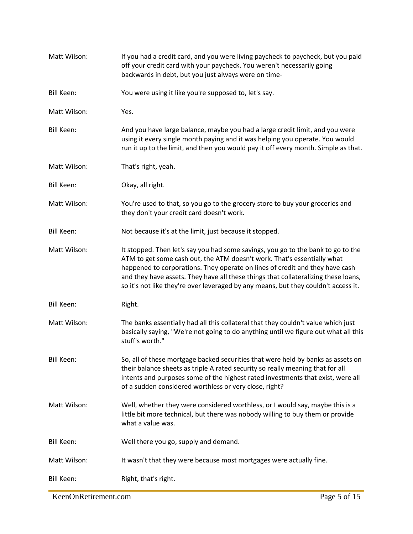| Matt Wilson:      | If you had a credit card, and you were living paycheck to paycheck, but you paid<br>off your credit card with your paycheck. You weren't necessarily going<br>backwards in debt, but you just always were on time-                                                                                                                                                                                                      |
|-------------------|-------------------------------------------------------------------------------------------------------------------------------------------------------------------------------------------------------------------------------------------------------------------------------------------------------------------------------------------------------------------------------------------------------------------------|
| <b>Bill Keen:</b> | You were using it like you're supposed to, let's say.                                                                                                                                                                                                                                                                                                                                                                   |
| Matt Wilson:      | Yes.                                                                                                                                                                                                                                                                                                                                                                                                                    |
| <b>Bill Keen:</b> | And you have large balance, maybe you had a large credit limit, and you were<br>using it every single month paying and it was helping you operate. You would<br>run it up to the limit, and then you would pay it off every month. Simple as that.                                                                                                                                                                      |
| Matt Wilson:      | That's right, yeah.                                                                                                                                                                                                                                                                                                                                                                                                     |
| <b>Bill Keen:</b> | Okay, all right.                                                                                                                                                                                                                                                                                                                                                                                                        |
| Matt Wilson:      | You're used to that, so you go to the grocery store to buy your groceries and<br>they don't your credit card doesn't work.                                                                                                                                                                                                                                                                                              |
| <b>Bill Keen:</b> | Not because it's at the limit, just because it stopped.                                                                                                                                                                                                                                                                                                                                                                 |
| Matt Wilson:      | It stopped. Then let's say you had some savings, you go to the bank to go to the<br>ATM to get some cash out, the ATM doesn't work. That's essentially what<br>happened to corporations. They operate on lines of credit and they have cash<br>and they have assets. They have all these things that collateralizing these loans,<br>so it's not like they're over leveraged by any means, but they couldn't access it. |
| <b>Bill Keen:</b> | Right.                                                                                                                                                                                                                                                                                                                                                                                                                  |
| Matt Wilson:      | The banks essentially had all this collateral that they couldn't value which just<br>basically saying, "We're not going to do anything until we figure out what all this<br>stuff's worth."                                                                                                                                                                                                                             |
| <b>Bill Keen:</b> | So, all of these mortgage backed securities that were held by banks as assets on<br>their balance sheets as triple A rated security so really meaning that for all<br>intents and purposes some of the highest rated investments that exist, were all<br>of a sudden considered worthless or very close, right?                                                                                                         |
| Matt Wilson:      | Well, whether they were considered worthless, or I would say, maybe this is a<br>little bit more technical, but there was nobody willing to buy them or provide<br>what a value was.                                                                                                                                                                                                                                    |
| <b>Bill Keen:</b> | Well there you go, supply and demand.                                                                                                                                                                                                                                                                                                                                                                                   |
| Matt Wilson:      | It wasn't that they were because most mortgages were actually fine.                                                                                                                                                                                                                                                                                                                                                     |
| <b>Bill Keen:</b> | Right, that's right.                                                                                                                                                                                                                                                                                                                                                                                                    |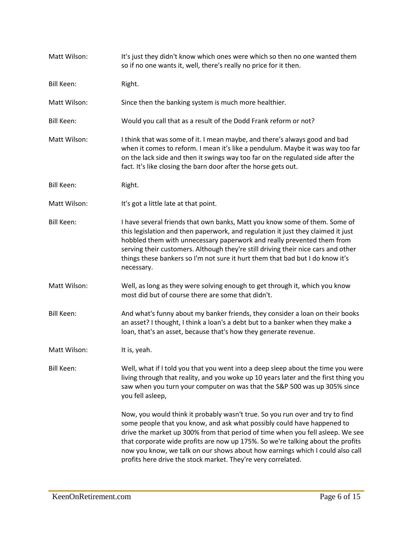| Matt Wilson:      | It's just they didn't know which ones were which so then no one wanted them<br>so if no one wants it, well, there's really no price for it then.                                                                                                                                                                                                                                                                                                                                |
|-------------------|---------------------------------------------------------------------------------------------------------------------------------------------------------------------------------------------------------------------------------------------------------------------------------------------------------------------------------------------------------------------------------------------------------------------------------------------------------------------------------|
| <b>Bill Keen:</b> | Right.                                                                                                                                                                                                                                                                                                                                                                                                                                                                          |
| Matt Wilson:      | Since then the banking system is much more healthier.                                                                                                                                                                                                                                                                                                                                                                                                                           |
| <b>Bill Keen:</b> | Would you call that as a result of the Dodd Frank reform or not?                                                                                                                                                                                                                                                                                                                                                                                                                |
| Matt Wilson:      | I think that was some of it. I mean maybe, and there's always good and bad<br>when it comes to reform. I mean it's like a pendulum. Maybe it was way too far<br>on the lack side and then it swings way too far on the regulated side after the<br>fact. It's like closing the barn door after the horse gets out.                                                                                                                                                              |
| <b>Bill Keen:</b> | Right.                                                                                                                                                                                                                                                                                                                                                                                                                                                                          |
| Matt Wilson:      | It's got a little late at that point.                                                                                                                                                                                                                                                                                                                                                                                                                                           |
| <b>Bill Keen:</b> | I have several friends that own banks, Matt you know some of them. Some of<br>this legislation and then paperwork, and regulation it just they claimed it just<br>hobbled them with unnecessary paperwork and really prevented them from<br>serving their customers. Although they're still driving their nice cars and other<br>things these bankers so I'm not sure it hurt them that bad but I do know it's<br>necessary.                                                    |
| Matt Wilson:      | Well, as long as they were solving enough to get through it, which you know<br>most did but of course there are some that didn't.                                                                                                                                                                                                                                                                                                                                               |
| <b>Bill Keen:</b> | And what's funny about my banker friends, they consider a loan on their books<br>an asset? I thought, I think a loan's a debt but to a banker when they make a<br>loan, that's an asset, because that's how they generate revenue.                                                                                                                                                                                                                                              |
| Matt Wilson:      | It is, yeah.                                                                                                                                                                                                                                                                                                                                                                                                                                                                    |
| <b>Bill Keen:</b> | Well, what if I told you that you went into a deep sleep about the time you were<br>living through that reality, and you woke up 10 years later and the first thing you<br>saw when you turn your computer on was that the S&P 500 was up 305% since<br>you fell asleep,                                                                                                                                                                                                        |
|                   | Now, you would think it probably wasn't true. So you run over and try to find<br>some people that you know, and ask what possibly could have happened to<br>drive the market up 300% from that period of time when you fell asleep. We see<br>that corporate wide profits are now up 175%. So we're talking about the profits<br>now you know, we talk on our shows about how earnings which I could also call<br>profits here drive the stock market. They're very correlated. |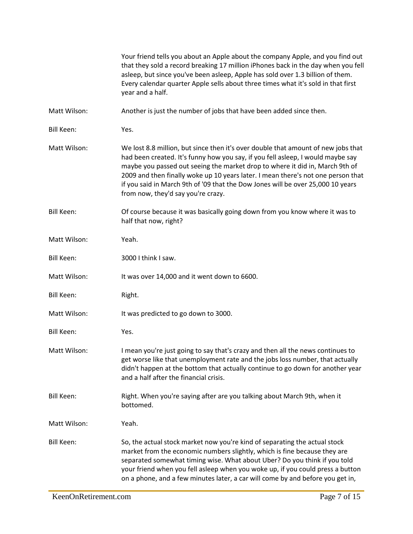|                   | Your friend tells you about an Apple about the company Apple, and you find out<br>that they sold a record breaking 17 million iPhones back in the day when you fell<br>asleep, but since you've been asleep, Apple has sold over 1.3 billion of them.<br>Every calendar quarter Apple sells about three times what it's sold in that first<br>year and a half.                                                                                                    |
|-------------------|-------------------------------------------------------------------------------------------------------------------------------------------------------------------------------------------------------------------------------------------------------------------------------------------------------------------------------------------------------------------------------------------------------------------------------------------------------------------|
| Matt Wilson:      | Another is just the number of jobs that have been added since then.                                                                                                                                                                                                                                                                                                                                                                                               |
| <b>Bill Keen:</b> | Yes.                                                                                                                                                                                                                                                                                                                                                                                                                                                              |
| Matt Wilson:      | We lost 8.8 million, but since then it's over double that amount of new jobs that<br>had been created. It's funny how you say, if you fell asleep, I would maybe say<br>maybe you passed out seeing the market drop to where it did in, March 9th of<br>2009 and then finally woke up 10 years later. I mean there's not one person that<br>if you said in March 9th of '09 that the Dow Jones will be over 25,000 10 years<br>from now, they'd say you're crazy. |
| <b>Bill Keen:</b> | Of course because it was basically going down from you know where it was to<br>half that now, right?                                                                                                                                                                                                                                                                                                                                                              |
| Matt Wilson:      | Yeah.                                                                                                                                                                                                                                                                                                                                                                                                                                                             |
| <b>Bill Keen:</b> | 3000 I think I saw.                                                                                                                                                                                                                                                                                                                                                                                                                                               |
| Matt Wilson:      | It was over 14,000 and it went down to 6600.                                                                                                                                                                                                                                                                                                                                                                                                                      |
| <b>Bill Keen:</b> | Right.                                                                                                                                                                                                                                                                                                                                                                                                                                                            |
| Matt Wilson:      | It was predicted to go down to 3000.                                                                                                                                                                                                                                                                                                                                                                                                                              |
| <b>Bill Keen:</b> | Yes.                                                                                                                                                                                                                                                                                                                                                                                                                                                              |
| Matt Wilson:      | I mean you're just going to say that's crazy and then all the news continues to<br>get worse like that unemployment rate and the jobs loss number, that actually<br>didn't happen at the bottom that actually continue to go down for another year<br>and a half after the financial crisis.                                                                                                                                                                      |
| <b>Bill Keen:</b> | Right. When you're saying after are you talking about March 9th, when it<br>bottomed.                                                                                                                                                                                                                                                                                                                                                                             |
| Matt Wilson:      | Yeah.                                                                                                                                                                                                                                                                                                                                                                                                                                                             |
| <b>Bill Keen:</b> | So, the actual stock market now you're kind of separating the actual stock<br>market from the economic numbers slightly, which is fine because they are<br>separated somewhat timing wise. What about Uber? Do you think if you told<br>your friend when you fell asleep when you woke up, if you could press a button<br>on a phone, and a few minutes later, a car will come by and before you get in,                                                          |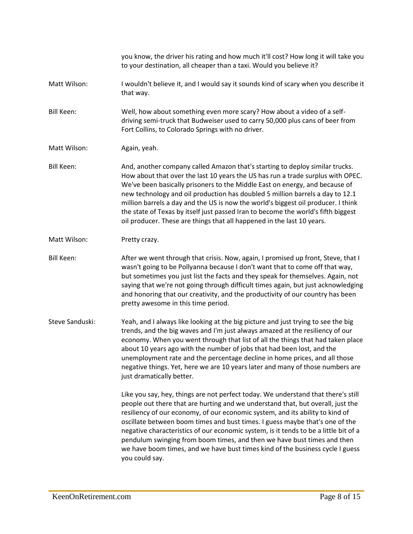|                   | you know, the driver his rating and how much it'll cost? How long it will take you<br>to your destination, all cheaper than a taxi. Would you believe it?                                                                                                                                                                                                                                                                                                                                                                                                                                                   |
|-------------------|-------------------------------------------------------------------------------------------------------------------------------------------------------------------------------------------------------------------------------------------------------------------------------------------------------------------------------------------------------------------------------------------------------------------------------------------------------------------------------------------------------------------------------------------------------------------------------------------------------------|
| Matt Wilson:      | I wouldn't believe it, and I would say it sounds kind of scary when you describe it<br>that way.                                                                                                                                                                                                                                                                                                                                                                                                                                                                                                            |
| <b>Bill Keen:</b> | Well, how about something even more scary? How about a video of a self-<br>driving semi-truck that Budweiser used to carry 50,000 plus cans of beer from<br>Fort Collins, to Colorado Springs with no driver.                                                                                                                                                                                                                                                                                                                                                                                               |
| Matt Wilson:      | Again, yeah.                                                                                                                                                                                                                                                                                                                                                                                                                                                                                                                                                                                                |
| <b>Bill Keen:</b> | And, another company called Amazon that's starting to deploy similar trucks.<br>How about that over the last 10 years the US has run a trade surplus with OPEC.<br>We've been basically prisoners to the Middle East on energy, and because of<br>new technology and oil production has doubled 5 million barrels a day to 12.1<br>million barrels a day and the US is now the world's biggest oil producer. I think<br>the state of Texas by itself just passed Iran to become the world's fifth biggest<br>oil producer. These are things that all happened in the last 10 years.                         |
| Matt Wilson:      | Pretty crazy.                                                                                                                                                                                                                                                                                                                                                                                                                                                                                                                                                                                               |
| <b>Bill Keen:</b> | After we went through that crisis. Now, again, I promised up front, Steve, that I<br>wasn't going to be Pollyanna because I don't want that to come off that way,<br>but sometimes you just list the facts and they speak for themselves. Again, not<br>saying that we're not going through difficult times again, but just acknowledging<br>and honoring that our creativity, and the productivity of our country has been<br>pretty awesome in this time period.                                                                                                                                          |
| Steve Sanduski:   | Yeah, and I always like looking at the big picture and just trying to see the big<br>trends, and the big waves and I'm just always amazed at the resiliency of our<br>economy. When you went through that list of all the things that had taken place<br>about 10 years ago with the number of jobs that had been lost, and the<br>unemployment rate and the percentage decline in home prices, and all those<br>negative things. Yet, here we are 10 years later and many of those numbers are<br>just dramatically better.                                                                                |
|                   | Like you say, hey, things are not perfect today. We understand that there's still<br>people out there that are hurting and we understand that, but overall, just the<br>resiliency of our economy, of our economic system, and its ability to kind of<br>oscillate between boom times and bust times. I guess maybe that's one of the<br>negative characteristics of our economic system, is it tends to be a little bit of a<br>pendulum swinging from boom times, and then we have bust times and then<br>we have boom times, and we have bust times kind of the business cycle I guess<br>you could say. |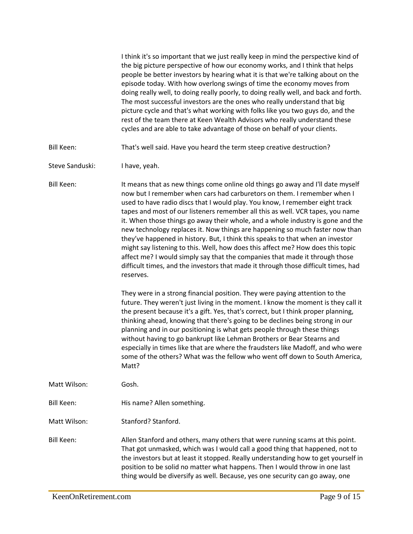I think it's so important that we just really keep in mind the perspective kind of the big picture perspective of how our economy works, and I think that helps people be better investors by hearing what it is that we're talking about on the episode today. With how overlong swings of time the economy moves from doing really well, to doing really poorly, to doing really well, and back and forth. The most successful investors are the ones who really understand that big picture cycle and that's what working with folks like you two guys do, and the rest of the team there at Keen Wealth Advisors who really understand these cycles and are able to take advantage of those on behalf of your clients.

- Bill Keen: That's well said. Have you heard the term steep creative destruction?
- Steve Sanduski: I have, yeah.

Bill Keen: It means that as new things come online old things go away and I'll date myself now but I remember when cars had carburetors on them. I remember when I used to have radio discs that I would play. You know, I remember eight track tapes and most of our listeners remember all this as well. VCR tapes, you name it. When those things go away their whole, and a whole industry is gone and the new technology replaces it. Now things are happening so much faster now than they've happened in history. But, I think this speaks to that when an investor might say listening to this. Well, how does this affect me? How does this topic affect me? I would simply say that the companies that made it through those difficult times, and the investors that made it through those difficult times, had reserves.

> They were in a strong financial position. They were paying attention to the future. They weren't just living in the moment. I know the moment is they call it the present because it's a gift. Yes, that's correct, but I think proper planning, thinking ahead, knowing that there's going to be declines being strong in our planning and in our positioning is what gets people through these things without having to go bankrupt like Lehman Brothers or Bear Stearns and especially in times like that are where the fraudsters like Madoff, and who were some of the others? What was the fellow who went off down to South America, Matt?

- Matt Wilson: Gosh.
- Bill Keen: His name? Allen something.

Matt Wilson: Stanford? Stanford.

Bill Keen: Allen Stanford and others, many others that were running scams at this point. That got unmasked, which was I would call a good thing that happened, not to the investors but at least it stopped. Really understanding how to get yourself in position to be solid no matter what happens. Then I would throw in one last thing would be diversify as well. Because, yes one security can go away, one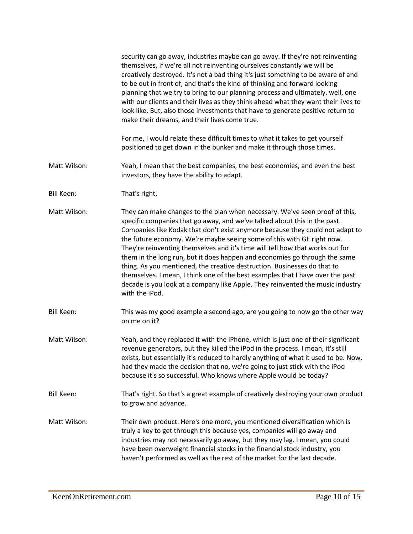|                   | security can go away, industries maybe can go away. If they're not reinventing<br>themselves, if we're all not reinventing ourselves constantly we will be<br>creatively destroyed. It's not a bad thing it's just something to be aware of and<br>to be out in front of, and that's the kind of thinking and forward looking<br>planning that we try to bring to our planning process and ultimately, well, one<br>with our clients and their lives as they think ahead what they want their lives to<br>look like. But, also those investments that have to generate positive return to<br>make their dreams, and their lives come true.                                                                                                           |
|-------------------|------------------------------------------------------------------------------------------------------------------------------------------------------------------------------------------------------------------------------------------------------------------------------------------------------------------------------------------------------------------------------------------------------------------------------------------------------------------------------------------------------------------------------------------------------------------------------------------------------------------------------------------------------------------------------------------------------------------------------------------------------|
|                   | For me, I would relate these difficult times to what it takes to get yourself<br>positioned to get down in the bunker and make it through those times.                                                                                                                                                                                                                                                                                                                                                                                                                                                                                                                                                                                               |
| Matt Wilson:      | Yeah, I mean that the best companies, the best economies, and even the best<br>investors, they have the ability to adapt.                                                                                                                                                                                                                                                                                                                                                                                                                                                                                                                                                                                                                            |
| <b>Bill Keen:</b> | That's right.                                                                                                                                                                                                                                                                                                                                                                                                                                                                                                                                                                                                                                                                                                                                        |
| Matt Wilson:      | They can make changes to the plan when necessary. We've seen proof of this,<br>specific companies that go away, and we've talked about this in the past.<br>Companies like Kodak that don't exist anymore because they could not adapt to<br>the future economy. We're maybe seeing some of this with GE right now.<br>They're reinventing themselves and it's time will tell how that works out for<br>them in the long run, but it does happen and economies go through the same<br>thing. As you mentioned, the creative destruction. Businesses do that to<br>themselves. I mean, I think one of the best examples that I have over the past<br>decade is you look at a company like Apple. They reinvented the music industry<br>with the iPod. |
| <b>Bill Keen:</b> | This was my good example a second ago, are you going to now go the other way<br>on me on it?                                                                                                                                                                                                                                                                                                                                                                                                                                                                                                                                                                                                                                                         |
| Matt Wilson:      | Yeah, and they replaced it with the iPhone, which is just one of their significant<br>revenue generators, but they killed the iPod in the process. I mean, it's still<br>exists, but essentially it's reduced to hardly anything of what it used to be. Now,<br>had they made the decision that no, we're going to just stick with the iPod<br>because it's so successful. Who knows where Apple would be today?                                                                                                                                                                                                                                                                                                                                     |
| <b>Bill Keen:</b> | That's right. So that's a great example of creatively destroying your own product<br>to grow and advance.                                                                                                                                                                                                                                                                                                                                                                                                                                                                                                                                                                                                                                            |
| Matt Wilson:      | Their own product. Here's one more, you mentioned diversification which is<br>truly a key to get through this because yes, companies will go away and<br>industries may not necessarily go away, but they may lag. I mean, you could<br>have been overweight financial stocks in the financial stock industry, you<br>haven't performed as well as the rest of the market for the last decade.                                                                                                                                                                                                                                                                                                                                                       |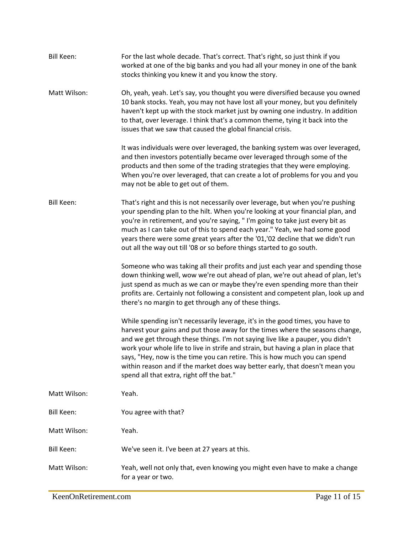| Bill Keen:        | For the last whole decade. That's correct. That's right, so just think if you<br>worked at one of the big banks and you had all your money in one of the bank<br>stocks thinking you knew it and you know the story.                                                                                                                                                                                                                                                                                                                               |
|-------------------|----------------------------------------------------------------------------------------------------------------------------------------------------------------------------------------------------------------------------------------------------------------------------------------------------------------------------------------------------------------------------------------------------------------------------------------------------------------------------------------------------------------------------------------------------|
| Matt Wilson:      | Oh, yeah, yeah. Let's say, you thought you were diversified because you owned<br>10 bank stocks. Yeah, you may not have lost all your money, but you definitely<br>haven't kept up with the stock market just by owning one industry. In addition<br>to that, over leverage. I think that's a common theme, tying it back into the<br>issues that we saw that caused the global financial crisis.                                                                                                                                                  |
|                   | It was individuals were over leveraged, the banking system was over leveraged,<br>and then investors potentially became over leveraged through some of the<br>products and then some of the trading strategies that they were employing.<br>When you're over leveraged, that can create a lot of problems for you and you<br>may not be able to get out of them.                                                                                                                                                                                   |
| <b>Bill Keen:</b> | That's right and this is not necessarily over leverage, but when you're pushing<br>your spending plan to the hilt. When you're looking at your financial plan, and<br>you're in retirement, and you're saying, "I'm going to take just every bit as<br>much as I can take out of this to spend each year." Yeah, we had some good<br>years there were some great years after the '01,'02 decline that we didn't run<br>out all the way out till '08 or so before things started to go south.                                                       |
|                   | Someone who was taking all their profits and just each year and spending those<br>down thinking well, wow we're out ahead of plan, we're out ahead of plan, let's<br>just spend as much as we can or maybe they're even spending more than their<br>profits are. Certainly not following a consistent and competent plan, look up and<br>there's no margin to get through any of these things.                                                                                                                                                     |
|                   | While spending isn't necessarily leverage, it's in the good times, you have to<br>harvest your gains and put those away for the times where the seasons change,<br>and we get through these things. I'm not saying live like a pauper, you didn't<br>work your whole life to live in strife and strain, but having a plan in place that<br>says, "Hey, now is the time you can retire. This is how much you can spend<br>within reason and if the market does way better early, that doesn't mean you<br>spend all that extra, right off the bat." |
| Matt Wilson:      | Yeah.                                                                                                                                                                                                                                                                                                                                                                                                                                                                                                                                              |
| <b>Bill Keen:</b> | You agree with that?                                                                                                                                                                                                                                                                                                                                                                                                                                                                                                                               |
| Matt Wilson:      | Yeah.                                                                                                                                                                                                                                                                                                                                                                                                                                                                                                                                              |
| <b>Bill Keen:</b> | We've seen it. I've been at 27 years at this.                                                                                                                                                                                                                                                                                                                                                                                                                                                                                                      |
| Matt Wilson:      | Yeah, well not only that, even knowing you might even have to make a change<br>for a year or two.                                                                                                                                                                                                                                                                                                                                                                                                                                                  |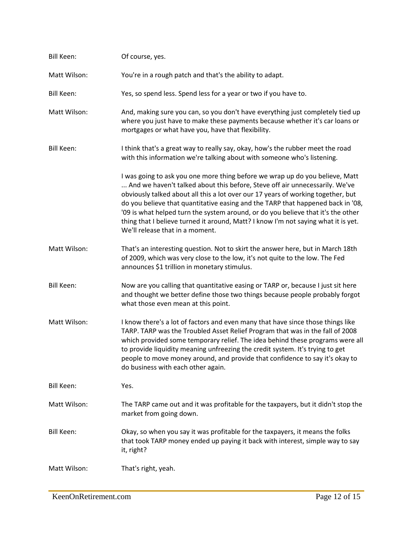| <b>Bill Keen:</b> | Of course, yes.                                                                                                                                                                                                                                                                                                                                                                                                                                                                                                                                 |
|-------------------|-------------------------------------------------------------------------------------------------------------------------------------------------------------------------------------------------------------------------------------------------------------------------------------------------------------------------------------------------------------------------------------------------------------------------------------------------------------------------------------------------------------------------------------------------|
| Matt Wilson:      | You're in a rough patch and that's the ability to adapt.                                                                                                                                                                                                                                                                                                                                                                                                                                                                                        |
| <b>Bill Keen:</b> | Yes, so spend less. Spend less for a year or two if you have to.                                                                                                                                                                                                                                                                                                                                                                                                                                                                                |
| Matt Wilson:      | And, making sure you can, so you don't have everything just completely tied up<br>where you just have to make these payments because whether it's car loans or<br>mortgages or what have you, have that flexibility.                                                                                                                                                                                                                                                                                                                            |
| <b>Bill Keen:</b> | I think that's a great way to really say, okay, how's the rubber meet the road<br>with this information we're talking about with someone who's listening.                                                                                                                                                                                                                                                                                                                                                                                       |
|                   | I was going to ask you one more thing before we wrap up do you believe, Matt<br>And we haven't talked about this before, Steve off air unnecessarily. We've<br>obviously talked about all this a lot over our 17 years of working together, but<br>do you believe that quantitative easing and the TARP that happened back in '08,<br>'09 is what helped turn the system around, or do you believe that it's the other<br>thing that I believe turned it around, Matt? I know I'm not saying what it is yet.<br>We'll release that in a moment. |
| Matt Wilson:      | That's an interesting question. Not to skirt the answer here, but in March 18th<br>of 2009, which was very close to the low, it's not quite to the low. The Fed<br>announces \$1 trillion in monetary stimulus.                                                                                                                                                                                                                                                                                                                                 |
| <b>Bill Keen:</b> | Now are you calling that quantitative easing or TARP or, because I just sit here<br>and thought we better define those two things because people probably forgot<br>what those even mean at this point.                                                                                                                                                                                                                                                                                                                                         |
| Matt Wilson:      | I know there's a lot of factors and even many that have since those things like<br>TARP. TARP was the Troubled Asset Relief Program that was in the fall of 2008<br>which provided some temporary relief. The idea behind these programs were all<br>to provide liquidity meaning unfreezing the credit system. It's trying to get<br>people to move money around, and provide that confidence to say it's okay to<br>do business with each other again.                                                                                        |
| <b>Bill Keen:</b> | Yes.                                                                                                                                                                                                                                                                                                                                                                                                                                                                                                                                            |
| Matt Wilson:      | The TARP came out and it was profitable for the taxpayers, but it didn't stop the<br>market from going down.                                                                                                                                                                                                                                                                                                                                                                                                                                    |
| <b>Bill Keen:</b> | Okay, so when you say it was profitable for the taxpayers, it means the folks<br>that took TARP money ended up paying it back with interest, simple way to say<br>it, right?                                                                                                                                                                                                                                                                                                                                                                    |
| Matt Wilson:      | That's right, yeah.                                                                                                                                                                                                                                                                                                                                                                                                                                                                                                                             |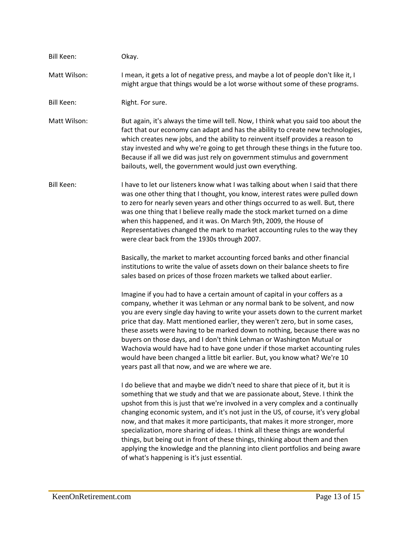| <b>Bill Keen:</b> | Okay.                                                                                                                                                                                                                                                                                                                                                                                                                                                                                                                                                                                                                                                                                                                      |
|-------------------|----------------------------------------------------------------------------------------------------------------------------------------------------------------------------------------------------------------------------------------------------------------------------------------------------------------------------------------------------------------------------------------------------------------------------------------------------------------------------------------------------------------------------------------------------------------------------------------------------------------------------------------------------------------------------------------------------------------------------|
| Matt Wilson:      | I mean, it gets a lot of negative press, and maybe a lot of people don't like it, I<br>might argue that things would be a lot worse without some of these programs.                                                                                                                                                                                                                                                                                                                                                                                                                                                                                                                                                        |
| <b>Bill Keen:</b> | Right. For sure.                                                                                                                                                                                                                                                                                                                                                                                                                                                                                                                                                                                                                                                                                                           |
| Matt Wilson:      | But again, it's always the time will tell. Now, I think what you said too about the<br>fact that our economy can adapt and has the ability to create new technologies,<br>which creates new jobs, and the ability to reinvent itself provides a reason to<br>stay invested and why we're going to get through these things in the future too.<br>Because if all we did was just rely on government stimulus and government<br>bailouts, well, the government would just own everything.                                                                                                                                                                                                                                    |
| <b>Bill Keen:</b> | I have to let our listeners know what I was talking about when I said that there<br>was one other thing that I thought, you know, interest rates were pulled down<br>to zero for nearly seven years and other things occurred to as well. But, there<br>was one thing that I believe really made the stock market turned on a dime<br>when this happened, and it was. On March 9th, 2009, the House of<br>Representatives changed the mark to market accounting rules to the way they<br>were clear back from the 1930s through 2007.                                                                                                                                                                                      |
|                   | Basically, the market to market accounting forced banks and other financial<br>institutions to write the value of assets down on their balance sheets to fire<br>sales based on prices of those frozen markets we talked about earlier.                                                                                                                                                                                                                                                                                                                                                                                                                                                                                    |
|                   | Imagine if you had to have a certain amount of capital in your coffers as a<br>company, whether it was Lehman or any normal bank to be solvent, and now<br>you are every single day having to write your assets down to the current market<br>price that day. Matt mentioned earlier, they weren't zero, but in some cases,<br>these assets were having to be marked down to nothing, because there was no<br>buyers on those days, and I don't think Lehman or Washington Mutual or<br>Wachovia would have had to have gone under if those market accounting rules<br>would have been changed a little bit earlier. But, you know what? We're 10<br>years past all that now, and we are where we are.                     |
|                   | I do believe that and maybe we didn't need to share that piece of it, but it is<br>something that we study and that we are passionate about, Steve. I think the<br>upshot from this is just that we're involved in a very complex and a continually<br>changing economic system, and it's not just in the US, of course, it's very global<br>now, and that makes it more participants, that makes it more stronger, more<br>specialization, more sharing of ideas. I think all these things are wonderful<br>things, but being out in front of these things, thinking about them and then<br>applying the knowledge and the planning into client portfolios and being aware<br>of what's happening is it's just essential. |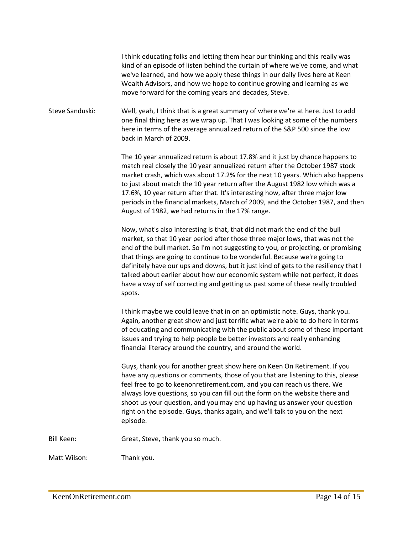I think educating folks and letting them hear our thinking and this really was kind of an episode of listen behind the curtain of where we've come, and what we've learned, and how we apply these things in our daily lives here at Keen Wealth Advisors, and how we hope to continue growing and learning as we move forward for the coming years and decades, Steve.

Steve Sanduski: Well, yeah, I think that is a great summary of where we're at here. Just to add one final thing here as we wrap up. That I was looking at some of the numbers here in terms of the average annualized return of the S&P 500 since the low back in March of 2009.

> The 10 year annualized return is about 17.8% and it just by chance happens to match real closely the 10 year annualized return after the October 1987 stock market crash, which was about 17.2% for the next 10 years. Which also happens to just about match the 10 year return after the August 1982 low which was a 17.6%, 10 year return after that. It's interesting how, after three major low periods in the financial markets, March of 2009, and the October 1987, and then August of 1982, we had returns in the 17% range.

Now, what's also interesting is that, that did not mark the end of the bull market, so that 10 year period after those three major lows, that was not the end of the bull market. So I'm not suggesting to you, or projecting, or promising that things are going to continue to be wonderful. Because we're going to definitely have our ups and downs, but it just kind of gets to the resiliency that I talked about earlier about how our economic system while not perfect, it does have a way of self correcting and getting us past some of these really troubled spots.

I think maybe we could leave that in on an optimistic note. Guys, thank you. Again, another great show and just terrific what we're able to do here in terms of educating and communicating with the public about some of these important issues and trying to help people be better investors and really enhancing financial literacy around the country, and around the world.

Guys, thank you for another great show here on Keen On Retirement. If you have any questions or comments, those of you that are listening to this, please feel free to go to keenonretirement.com, and you can reach us there. We always love questions, so you can fill out the form on the website there and shoot us your question, and you may end up having us answer your question right on the episode. Guys, thanks again, and we'll talk to you on the next episode.

Bill Keen: Great, Steve, thank you so much.

Matt Wilson: Thank you.